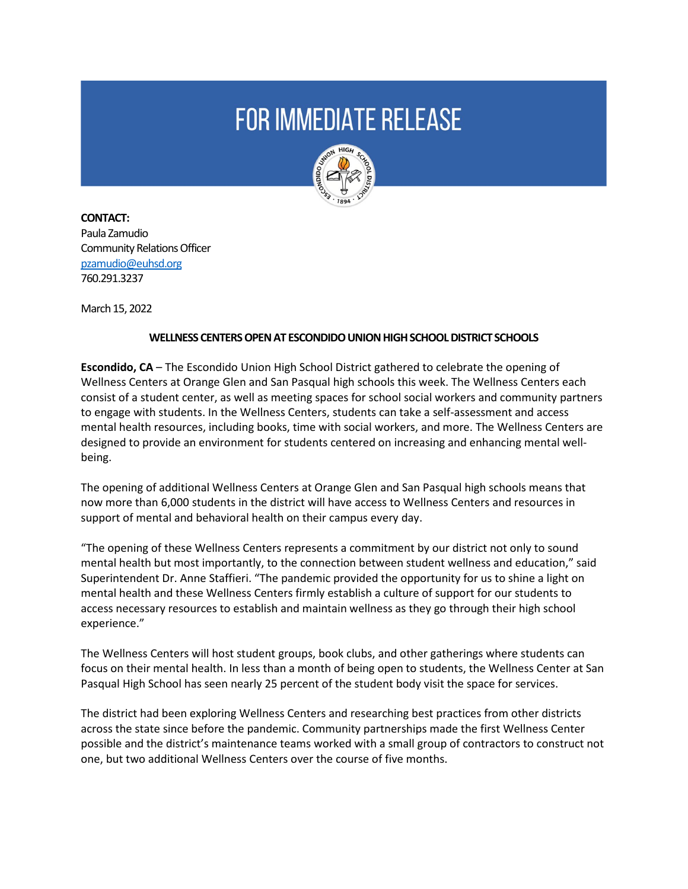## **FOR IMMEDIATE RELEASE**



**CONTACT:**  Paula Zamudio Community Relations Officer [pzamudio@euhsd.org](mailto:pzamudio@euhsd.org) 760.291.3237

March 15, 2022

## **WELLNESS CENTERS OPEN AT ESCONDIDO UNION HIGH SCHOOL DISTRICT SCHOOLS**

**Escondido, CA** – The Escondido Union High School District gathered to celebrate the opening of Wellness Centers at Orange Glen and San Pasqual high schools this week. The Wellness Centers each consist of a student center, as well as meeting spaces for school social workers and community partners to engage with students. In the Wellness Centers, students can take a self-assessment and access mental health resources, including books, time with social workers, and more. The Wellness Centers are designed to provide an environment for students centered on increasing and enhancing mental wellbeing.

The opening of additional Wellness Centers at Orange Glen and San Pasqual high schools means that now more than 6,000 students in the district will have access to Wellness Centers and resources in support of mental and behavioral health on their campus every day.

"The opening of these Wellness Centers represents a commitment by our district not only to sound mental health but most importantly, to the connection between student wellness and education," said Superintendent Dr. Anne Staffieri. "The pandemic provided the opportunity for us to shine a light on mental health and these Wellness Centers firmly establish a culture of support for our students to access necessary resources to establish and maintain wellness as they go through their high school experience."

The Wellness Centers will host student groups, book clubs, and other gatherings where students can focus on their mental health. In less than a month of being open to students, the Wellness Center at San Pasqual High School has seen nearly 25 percent of the student body visit the space for services.

The district had been exploring Wellness Centers and researching best practices from other districts across the state since before the pandemic. Community partnerships made the first Wellness Center possible and the district's maintenance teams worked with a small group of contractors to construct not one, but two additional Wellness Centers over the course of five months.